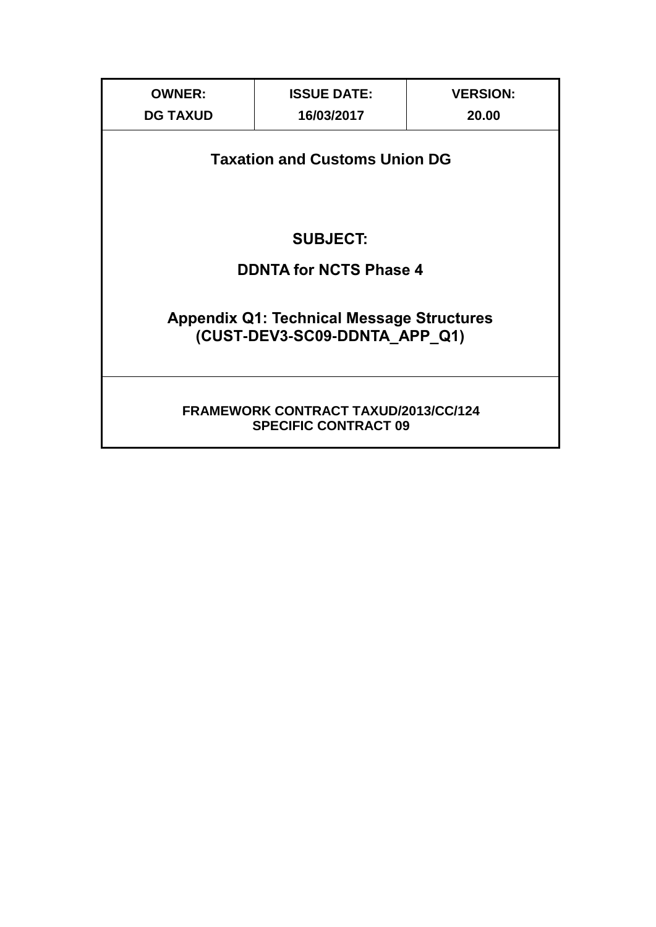| <b>OWNER:</b><br><b>DG TAXUD</b>                                                  | <b>ISSUE DATE:</b><br>16/03/2017 | <b>VERSION:</b><br>20.00 |  |
|-----------------------------------------------------------------------------------|----------------------------------|--------------------------|--|
| <b>Taxation and Customs Union DG</b>                                              |                                  |                          |  |
|                                                                                   |                                  |                          |  |
| <b>SUBJECT:</b>                                                                   |                                  |                          |  |
| <b>DDNTA for NCTS Phase 4</b>                                                     |                                  |                          |  |
| <b>Appendix Q1: Technical Message Structures</b><br>(CUST-DEV3-SC09-DDNTA APP Q1) |                                  |                          |  |
| <b>FRAMEWORK CONTRACT TAXUD/2013/CC/124</b><br><b>SPECIFIC CONTRACT 09</b>        |                                  |                          |  |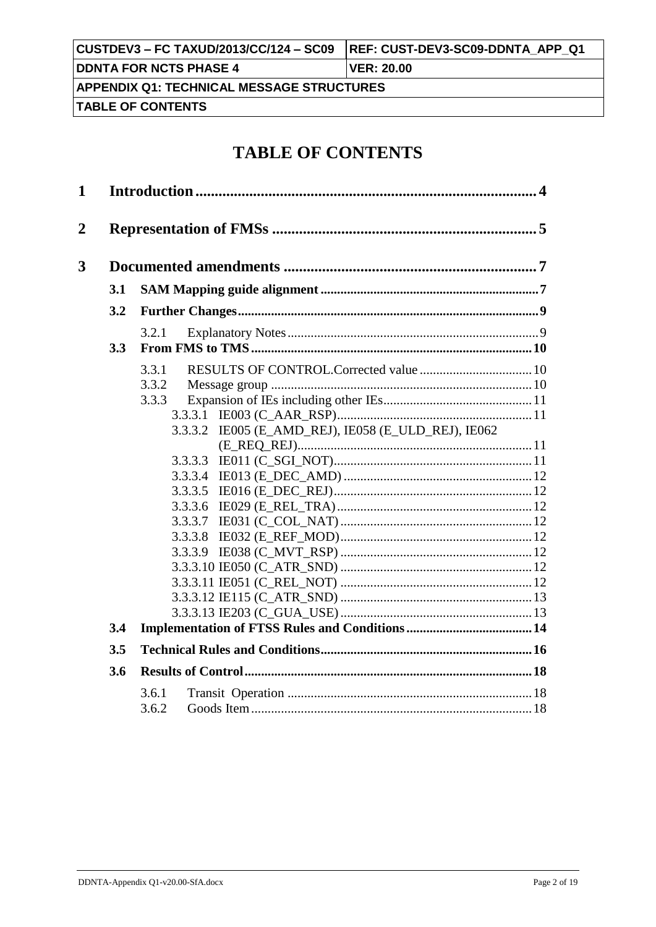| CUSTDEV3 – FC TAXUD/2013/CC/124 – SC09           | <b>REF: CUST-DEV3-SC09-DDNTA APP Q1</b> |  |
|--------------------------------------------------|-----------------------------------------|--|
| <b>DDNTA FOR NCTS PHASE 4</b>                    | <b>IVER: 20.00</b>                      |  |
| <b>APPENDIX Q1: TECHNICAL MESSAGE STRUCTURES</b> |                                         |  |
| <b>TABLE OF CONTENTS</b>                         |                                         |  |

# **TABLE OF CONTENTS**

| 1                |     |                                                                                              |
|------------------|-----|----------------------------------------------------------------------------------------------|
| $\boldsymbol{2}$ |     |                                                                                              |
| 3                |     |                                                                                              |
|                  | 3.1 |                                                                                              |
|                  | 3.2 |                                                                                              |
|                  | 3.3 | 3.2.1                                                                                        |
|                  |     | 3.3.1<br>3.3.2<br>3.3.3<br>3.3.3.1<br>IE005 (E_AMD_REJ), IE058 (E_ULD_REJ), IE062<br>3.3.3.2 |
|                  | 3.4 | 3.3.3.3<br>3.3.3.5<br>3.3.3.6<br>3.3.3.7<br>3.3.3.8<br>3.3.3.9                               |
|                  |     |                                                                                              |
|                  | 3.5 |                                                                                              |
|                  | 3.6 |                                                                                              |
|                  |     | 3.6.1<br>3.6.2                                                                               |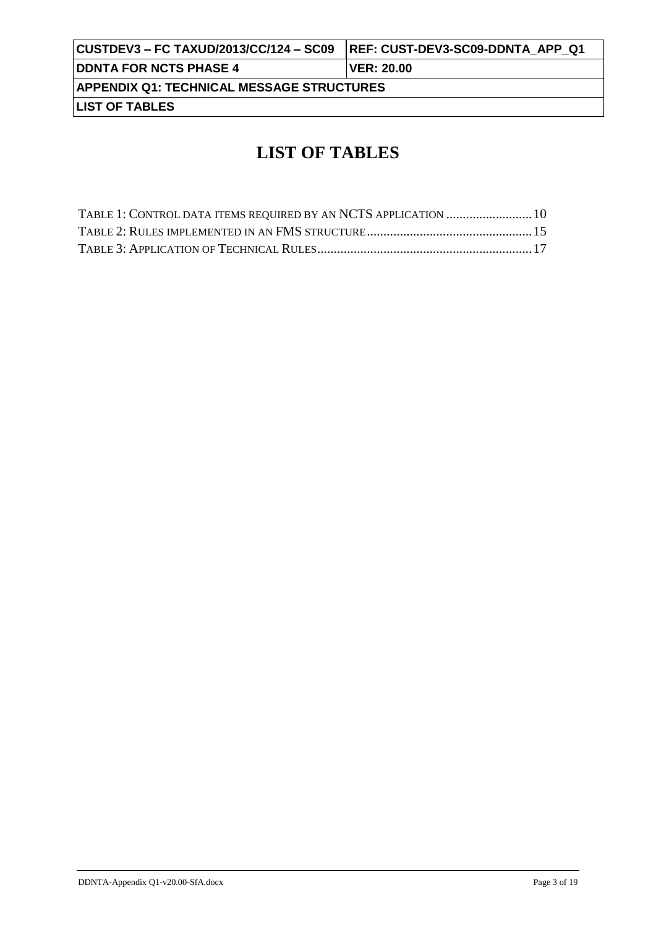| CUSTDEV3 – FC TAXUD/2013/CC/124 – SC09    | <b>REF: CUST-DEV3-SC09-DDNTA APP Q1</b> |  |
|-------------------------------------------|-----------------------------------------|--|
| <b>DDNTA FOR NCTS PHASE 4</b>             | <b>IVER: 20.00</b>                      |  |
| APPENDIX Q1: TECHNICAL MESSAGE STRUCTURES |                                         |  |
| <b>LIST OF TABLES</b>                     |                                         |  |

# **LIST OF TABLES**

| TABLE 1: CONTROL DATA ITEMS REQUIRED BY AN NCTS APPLICATION  10 |  |
|-----------------------------------------------------------------|--|
|                                                                 |  |
|                                                                 |  |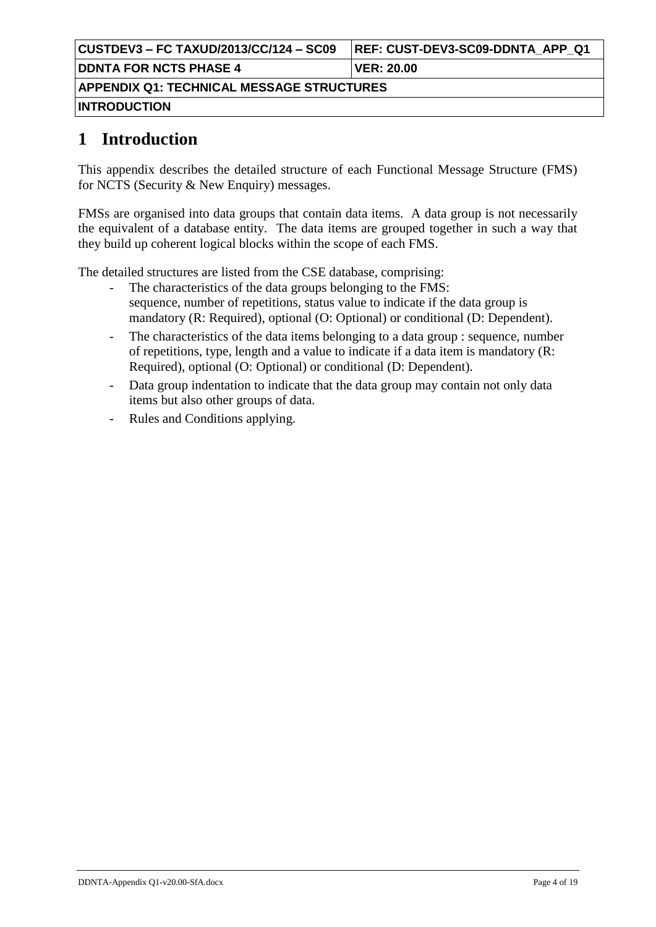| CUSTDEV3 – FC TAXUD/2013/CC/124 – SC09    | REF: CUST-DEV3-SC09-DDNTA_APP_Q1 |  |
|-------------------------------------------|----------------------------------|--|
| <b>DDNTA FOR NCTS PHASE 4</b>             | <b>IVER: 20.00</b>               |  |
| APPENDIX Q1: TECHNICAL MESSAGE STRUCTURES |                                  |  |
| <b>INTRODUCTION</b>                       |                                  |  |

# **1 Introduction**

This appendix describes the detailed structure of each Functional Message Structure (FMS) for NCTS (Security & New Enquiry) messages.

FMSs are organised into data groups that contain data items. A data group is not necessarily the equivalent of a database entity. The data items are grouped together in such a way that they build up coherent logical blocks within the scope of each FMS.

The detailed structures are listed from the CSE database, comprising:

- The characteristics of the data groups belonging to the FMS: sequence, number of repetitions, status value to indicate if the data group is mandatory (R: Required), optional (O: Optional) or conditional (D: Dependent).
- The characteristics of the data items belonging to a data group : sequence, number of repetitions, type, length and a value to indicate if a data item is mandatory (R: Required), optional (O: Optional) or conditional (D: Dependent).
- Data group indentation to indicate that the data group may contain not only data items but also other groups of data.
- Rules and Conditions applying.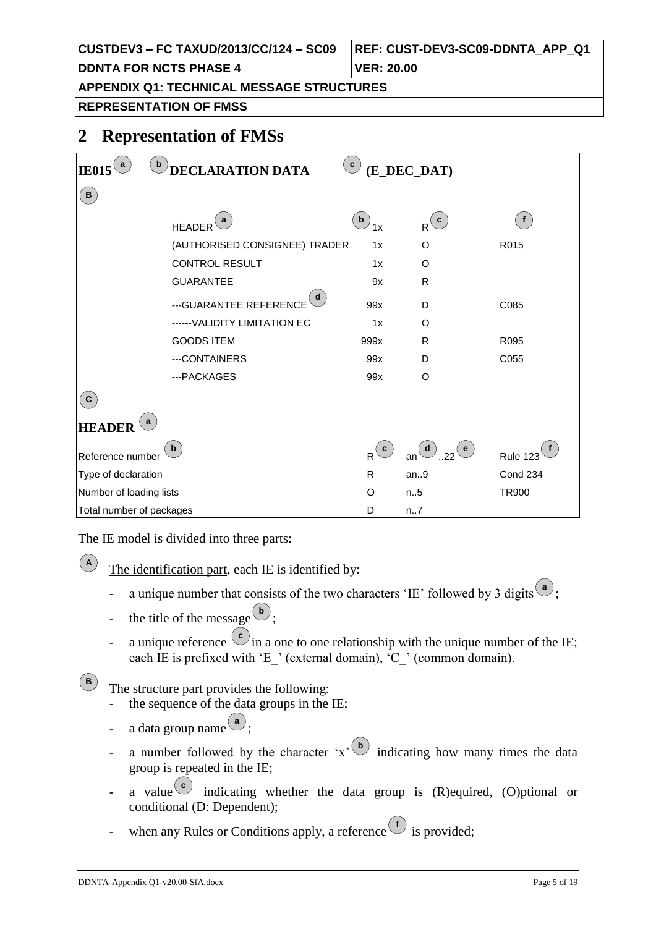| CUSTDEV3 – FC TAXUD/2013/CC/124 – SC09           | <b>REF: CUST-DEV3-SC09-DDNTA APP Q1</b> |  |
|--------------------------------------------------|-----------------------------------------|--|
| <b>IDDNTA FOR NCTS PHASE 4</b>                   | ⊺VER: 20.00                             |  |
| <b>APPENDIX Q1: TECHNICAL MESSAGE STRUCTURES</b> |                                         |  |
| <b>IREPRESENTATION OF FMSS</b>                   |                                         |  |

# **2 Representation of FMSs**

| $IE015^{\textcircled{\texttt{a}}}$ | $\mathbf b$<br><b>DECLARATION DATA</b> | $\mathbf{c}$                   | (E_DEC_DAT)                                                               |                 |
|------------------------------------|----------------------------------------|--------------------------------|---------------------------------------------------------------------------|-----------------|
| $\mathbf{B}$                       |                                        |                                |                                                                           |                 |
|                                    | a<br><b>HEADER</b>                     | $\vert \mathbf{b} \vert$<br>1x | $R$ <sup>(c)</sup>                                                        | $\mathbf{f}$    |
|                                    | (AUTHORISED CONSIGNEE) TRADER          | 1x                             | O                                                                         | R015            |
|                                    | <b>CONTROL RESULT</b>                  | 1x                             | O                                                                         |                 |
|                                    | <b>GUARANTEE</b>                       | 9x                             | $\mathsf{R}$                                                              |                 |
|                                    | --- GUARANTEE REFERENCE                | 99x                            | D                                                                         | C085            |
|                                    | ------ VALIDITY LIMITATION EC          | 1x                             | O                                                                         |                 |
|                                    | <b>GOODS ITEM</b>                      | 999x                           | R                                                                         | R095            |
|                                    | ---CONTAINERS                          | 99x                            | D                                                                         | C055            |
|                                    | ---PACKAGES                            | 99x                            | O                                                                         |                 |
| C                                  |                                        |                                |                                                                           |                 |
| <b>HEADER</b>                      |                                        |                                |                                                                           |                 |
| Reference number                   | $\mathbf b$                            | $\mathbf{c}$<br>R              | an $\bigcirc$ 22<br>$\left( \begin{array}{c} \bullet \end{array} \right)$ | <b>Rule 123</b> |
| Type of declaration                |                                        | $\mathsf{R}$                   | an.9                                                                      | Cond 234        |
| Number of loading lists            |                                        | O                              | n.5                                                                       | <b>TR900</b>    |
| Total number of packages           |                                        | D                              | n7                                                                        |                 |

The IE model is divided into three parts:

**A**

**B**

The identification part, each IE is identified by:

- a unique number that consists of the two characters 'IE' followed by 3 digits  $\begin{pmatrix} a \\ c \end{pmatrix}$ ;
- the title of the message  $\begin{pmatrix} \mathbf{b} \\ \mathbf{c} \end{pmatrix}$ ;
- a unique reference  $\left(\begin{array}{c} c \\ c \end{array}\right)$  in a one to one relationship with the unique number of the IE; each IE is prefixed with 'E\_' (external domain), 'C\_' (common domain).

The structure part provides the following:

- the sequence of the data groups in the IE;
- a data group name  $\begin{pmatrix} a \\ c \end{pmatrix}$ ;
- a number followed by the character 'x<sup>'</sup>  $\mathbf{b}$  indicating how many times the data group is repeated in the IE;
- a value  $\circ$  indicating whether the data group is (R)equired, (O)ptional or conditional (D: Dependent);
- when any Rules or Conditions apply, a reference  $\bigcirc$  is provided;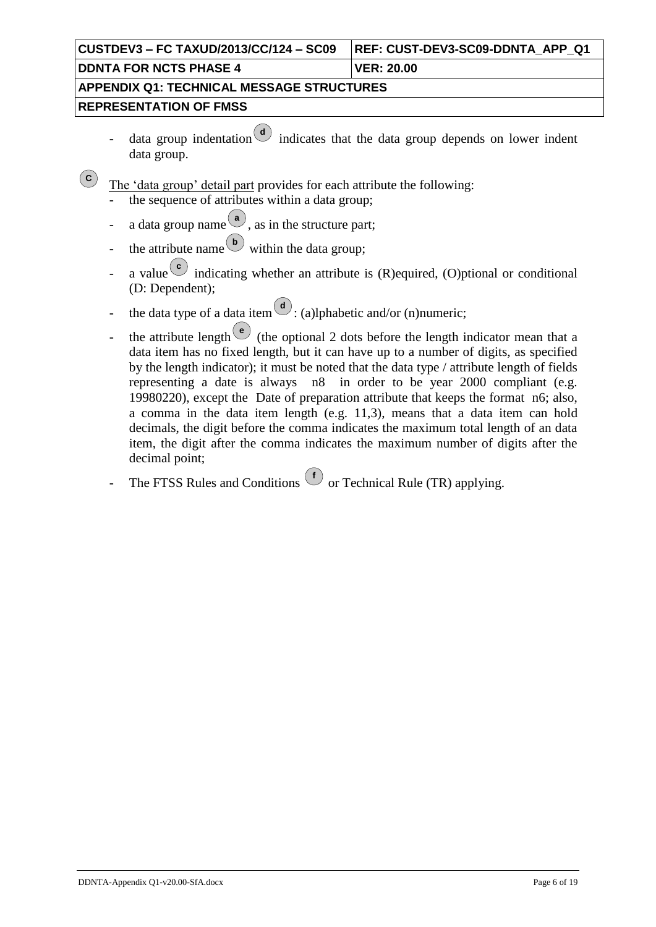| CUSTDEV3 – FC TAXUD/2013/CC/124 – SC09           | <b>REF: CUST-DEV3-SC09-DDNTA APP Q1</b> |  |
|--------------------------------------------------|-----------------------------------------|--|
| <b>IDDNTA FOR NCTS PHASE 4</b>                   | ⊺VER: 20.00                             |  |
| <b>APPENDIX Q1: TECHNICAL MESSAGE STRUCTURES</b> |                                         |  |
| <b>IREPRESENTATION OF FMSS</b>                   |                                         |  |

- data group indentation  $\begin{pmatrix} d \\ d \end{pmatrix}$  indicates that the data group depends on lower indent data group.
- $(\mathbf{c})$ The 'data group' detail part provides for each attribute the following:
	- the sequence of attributes within a data group;
	- a data group name  $\left( \begin{array}{c} a \\ c \end{array} \right)$ , as in the structure part;
	- the attribute name  $\overset{(b)}{\bigcirc}$  within the data group;
	- a value  $\circ$  indicating whether an attribute is (R) equired, (O) ptional or conditional (D: Dependent);
	- the data type of a data item  $\left( \frac{d}{dx} \right)$ : (a)lphabetic and/or (n)numeric;
	- the attribute length  $\begin{pmatrix} e \\ e \end{pmatrix}$  (the optional 2 dots before the length indicator mean that a data item has no fixed length, but it can have up to a number of digits, as specified by the length indicator); it must be noted that the data type / attribute length of fields representing a date is always n8 in order to be year 2000 compliant (e.g. 19980220), except the Date of preparation attribute that keeps the format n6; also, a comma in the data item length (e.g. 11,3), means that a data item can hold decimals, the digit before the comma indicates the maximum total length of an data item, the digit after the comma indicates the maximum number of digits after the decimal point;
	- The FTSS Rules and Conditions  $\bigcirc$  or Technical Rule (TR) applying.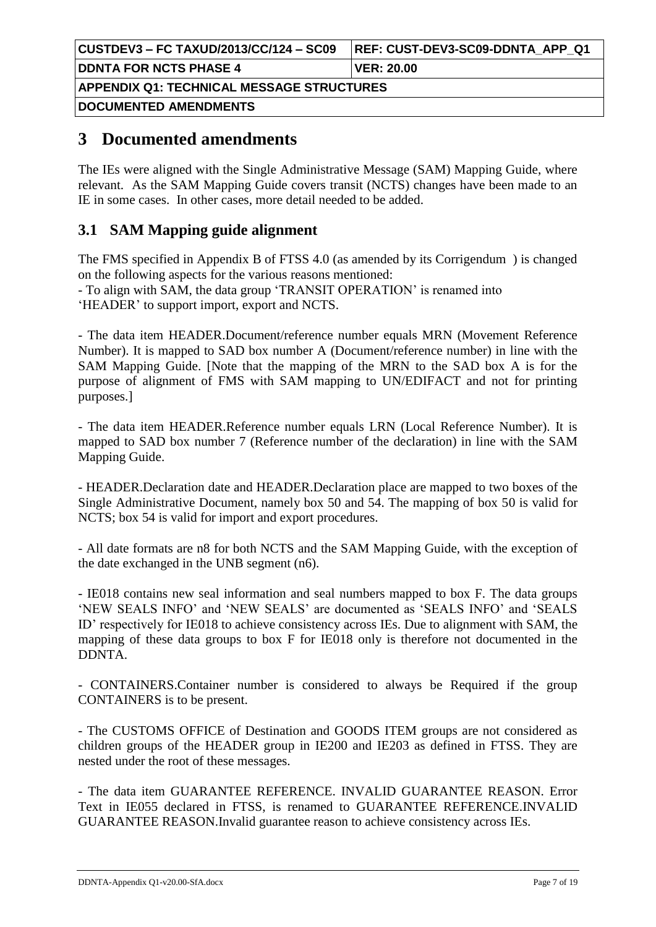| CUSTDEV3 – FC TAXUD/2013/CC/124 – SC09    | REF: CUST-DEV3-SC09-DDNTA APP Q1 |  |
|-------------------------------------------|----------------------------------|--|
| <b>DDNTA FOR NCTS PHASE 4</b>             | <b>VER: 20.00</b>                |  |
| APPENDIX Q1: TECHNICAL MESSAGE STRUCTURES |                                  |  |
| <b> DOCUMENTED AMENDMENTS </b>            |                                  |  |

# **3 Documented amendments**

The IEs were aligned with the Single Administrative Message (SAM) Mapping Guide, where relevant. As the SAM Mapping Guide covers transit (NCTS) changes have been made to an IE in some cases. In other cases, more detail needed to be added.

## **3.1 SAM Mapping guide alignment**

The FMS specified in Appendix B of FTSS 4.0 (as amended by its Corrigendum ) is changed on the following aspects for the various reasons mentioned: - To align with SAM, the data group 'TRANSIT OPERATION' is renamed into 'HEADER' to support import, export and NCTS.

- The data item HEADER.Document/reference number equals MRN (Movement Reference Number). It is mapped to SAD box number A (Document/reference number) in line with the SAM Mapping Guide. [Note that the mapping of the MRN to the SAD box A is for the purpose of alignment of FMS with SAM mapping to UN/EDIFACT and not for printing purposes.]

- The data item HEADER.Reference number equals LRN (Local Reference Number). It is mapped to SAD box number 7 (Reference number of the declaration) in line with the SAM Mapping Guide.

- HEADER.Declaration date and HEADER.Declaration place are mapped to two boxes of the Single Administrative Document, namely box 50 and 54. The mapping of box 50 is valid for NCTS; box 54 is valid for import and export procedures.

- All date formats are n8 for both NCTS and the SAM Mapping Guide, with the exception of the date exchanged in the UNB segment (n6).

- IE018 contains new seal information and seal numbers mapped to box F. The data groups 'NEW SEALS INFO' and 'NEW SEALS' are documented as 'SEALS INFO' and 'SEALS ID' respectively for IE018 to achieve consistency across IEs. Due to alignment with SAM, the mapping of these data groups to box F for IE018 only is therefore not documented in the DDNTA.

- CONTAINERS.Container number is considered to always be Required if the group CONTAINERS is to be present.

- The CUSTOMS OFFICE of Destination and GOODS ITEM groups are not considered as children groups of the HEADER group in IE200 and IE203 as defined in FTSS. They are nested under the root of these messages.

- The data item GUARANTEE REFERENCE. INVALID GUARANTEE REASON. Error Text in IE055 declared in FTSS, is renamed to GUARANTEE REFERENCE.INVALID GUARANTEE REASON.Invalid guarantee reason to achieve consistency across IEs.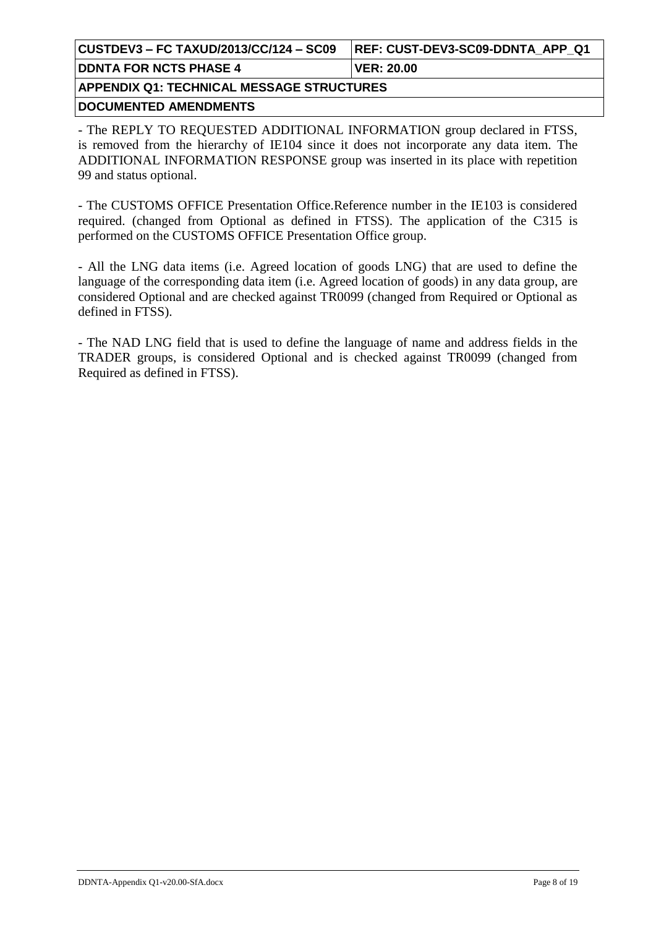| CUSTDEV3 – FC TAXUD/2013/CC/124 – SC09    | <b>REF: CUST-DEV3-SC09-DDNTA APP Q1</b> |  |
|-------------------------------------------|-----------------------------------------|--|
| <b>DDNTA FOR NCTS PHASE 4</b>             | VER: 20.00                              |  |
| APPENDIX Q1: TECHNICAL MESSAGE STRUCTURES |                                         |  |
|                                           |                                         |  |

**DOCUMENTED AMENDMENTS**

- The REPLY TO REQUESTED ADDITIONAL INFORMATION group declared in FTSS, is removed from the hierarchy of IE104 since it does not incorporate any data item. The ADDITIONAL INFORMATION RESPONSE group was inserted in its place with repetition 99 and status optional.

- The CUSTOMS OFFICE Presentation Office.Reference number in the IE103 is considered required. (changed from Optional as defined in FTSS). The application of the C315 is performed on the CUSTOMS OFFICE Presentation Office group.

- All the LNG data items (i.e. Agreed location of goods LNG) that are used to define the language of the corresponding data item (i.e. Agreed location of goods) in any data group, are considered Optional and are checked against TR0099 (changed from Required or Optional as defined in FTSS).

- The NAD LNG field that is used to define the language of name and address fields in the TRADER groups, is considered Optional and is checked against TR0099 (changed from Required as defined in FTSS).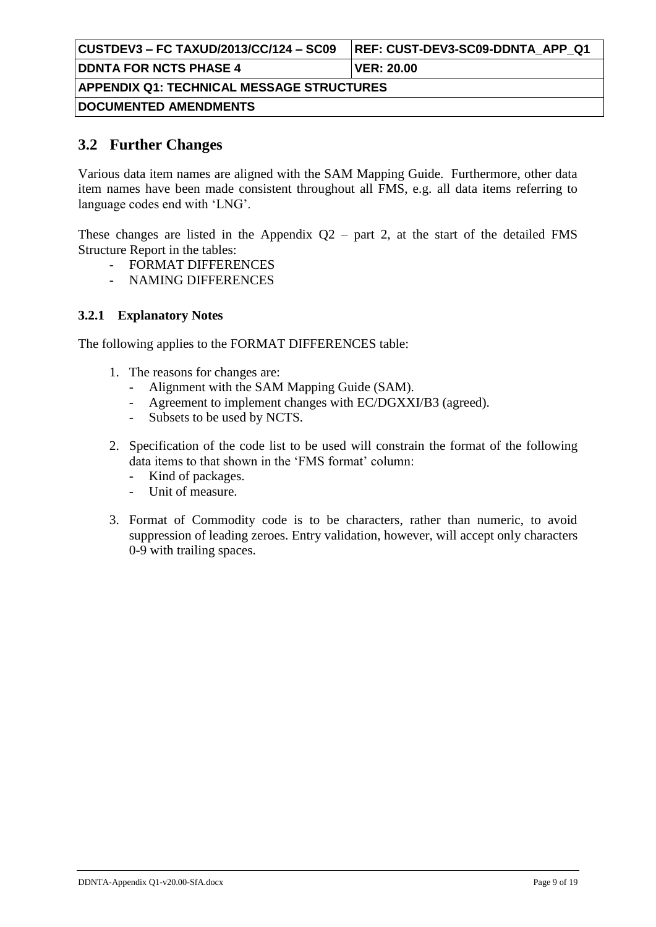|                                           | REF: CUST-DEV3-SC09-DDNTA APP Q1 |  |
|-------------------------------------------|----------------------------------|--|
| <b>IDDNTA FOR NCTS PHASE 4</b>            | <b>VER: 20.00</b>                |  |
| APPENDIX Q1: TECHNICAL MESSAGE STRUCTURES |                                  |  |
| <b> DOCUMENTED AMENDMENTS </b>            |                                  |  |

## **3.2 Further Changes**

Various data item names are aligned with the SAM Mapping Guide. Furthermore, other data item names have been made consistent throughout all FMS, e.g. all data items referring to language codes end with 'LNG'.

These changes are listed in the Appendix  $Q2$  – part 2, at the start of the detailed FMS Structure Report in the tables:

- FORMAT DIFFERENCES
- NAMING DIFFERENCES

#### **3.2.1 Explanatory Notes**

The following applies to the FORMAT DIFFERENCES table:

- 1. The reasons for changes are:
	- Alignment with the SAM Mapping Guide (SAM).
	- Agreement to implement changes with EC/DGXXI/B3 (agreed).
	- Subsets to be used by NCTS.
- 2. Specification of the code list to be used will constrain the format of the following data items to that shown in the 'FMS format' column:
	- Kind of packages.
	- Unit of measure.
- 3. Format of Commodity code is to be characters, rather than numeric, to avoid suppression of leading zeroes. Entry validation, however, will accept only characters 0-9 with trailing spaces.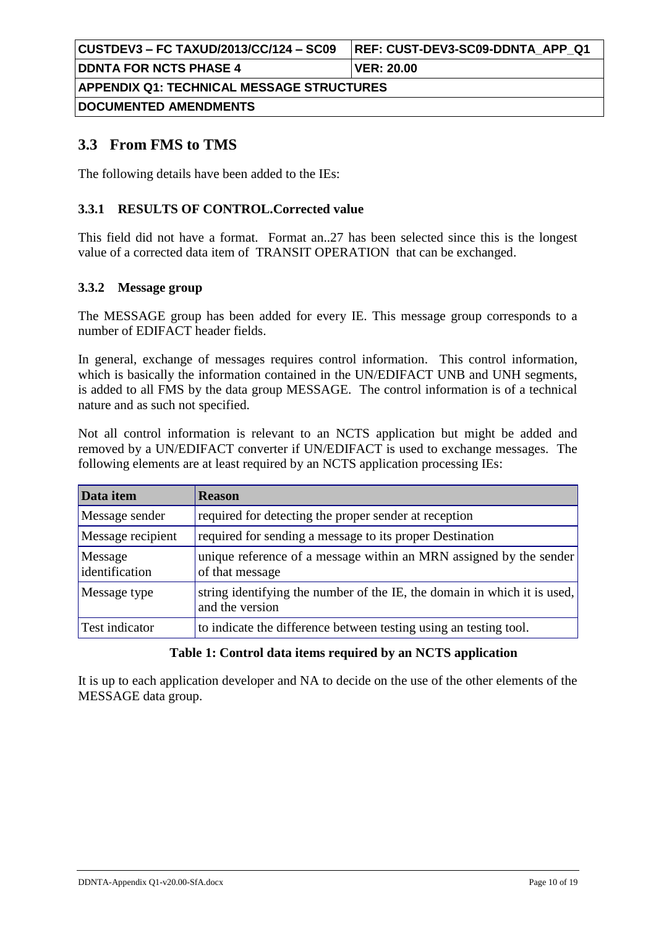| CUSTDEV3 – FC TAXUD/2013/CC/124 – SC09           | REF: CUST-DEV3-SC09-DDNTA APP Q1 |  |  |  |
|--------------------------------------------------|----------------------------------|--|--|--|
| <b>DDNTA FOR NCTS PHASE 4</b>                    | <b>IVER: 20.00</b>               |  |  |  |
| <b>APPENDIX Q1: TECHNICAL MESSAGE STRUCTURES</b> |                                  |  |  |  |
| <b> DOCUMENTED AMENDMENTS </b>                   |                                  |  |  |  |

## **3.3 From FMS to TMS**

The following details have been added to the IEs:

#### **3.3.1 RESULTS OF CONTROL.Corrected value**

This field did not have a format. Format an..27 has been selected since this is the longest value of a corrected data item of TRANSIT OPERATION that can be exchanged.

#### **3.3.2 Message group**

The MESSAGE group has been added for every IE. This message group corresponds to a number of EDIFACT header fields.

In general, exchange of messages requires control information. This control information, which is basically the information contained in the UN/EDIFACT UNB and UNH segments, is added to all FMS by the data group MESSAGE. The control information is of a technical nature and as such not specified.

Not all control information is relevant to an NCTS application but might be added and removed by a UN/EDIFACT converter if UN/EDIFACT is used to exchange messages. The following elements are at least required by an NCTS application processing IEs:

| Data item                 | <b>Reason</b>                                                                               |
|---------------------------|---------------------------------------------------------------------------------------------|
| Message sender            | required for detecting the proper sender at reception                                       |
| Message recipient         | required for sending a message to its proper Destination                                    |
| Message<br>identification | unique reference of a message within an MRN assigned by the sender<br>of that message       |
| Message type              | string identifying the number of the IE, the domain in which it is used,<br>and the version |
| Test indicator            | to indicate the difference between testing using an testing tool.                           |

#### **Table 1: Control data items required by an NCTS application**

<span id="page-9-0"></span>It is up to each application developer and NA to decide on the use of the other elements of the MESSAGE data group.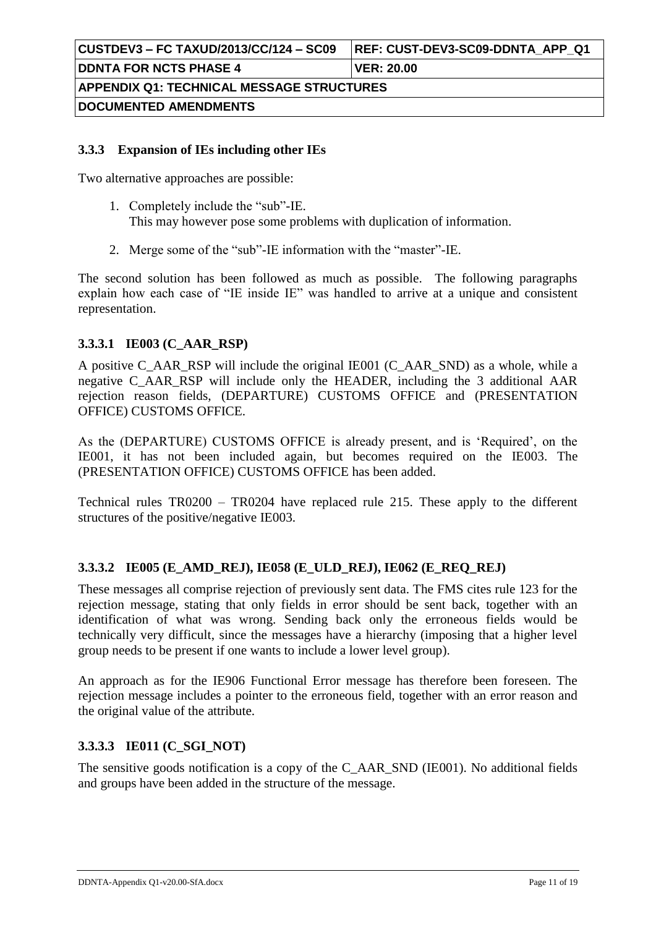| CUSTDEV3 – FC TAXUD/2013/CC/124 – SC09    | REF: CUST-DEV3-SC09-DDNTA APP Q1 |  |  |  |
|-------------------------------------------|----------------------------------|--|--|--|
| <b>DDNTA FOR NCTS PHASE 4</b>             | <b>IVER: 20.00</b>               |  |  |  |
| APPENDIX Q1: TECHNICAL MESSAGE STRUCTURES |                                  |  |  |  |
| <b> DOCUMENTED AMENDMENTS </b>            |                                  |  |  |  |

#### **3.3.3 Expansion of IEs including other IEs**

Two alternative approaches are possible:

- 1. Completely include the "sub"-IE. This may however pose some problems with duplication of information.
- 2. Merge some of the "sub"-IE information with the "master"-IE.

The second solution has been followed as much as possible. The following paragraphs explain how each case of "IE inside IE" was handled to arrive at a unique and consistent representation.

### **3.3.3.1 IE003 (C\_AAR\_RSP)**

A positive C\_AAR\_RSP will include the original IE001 (C\_AAR\_SND) as a whole, while a negative C\_AAR\_RSP will include only the HEADER, including the 3 additional AAR rejection reason fields, (DEPARTURE) CUSTOMS OFFICE and (PRESENTATION OFFICE) CUSTOMS OFFICE.

As the (DEPARTURE) CUSTOMS OFFICE is already present, and is 'Required', on the IE001, it has not been included again, but becomes required on the IE003. The (PRESENTATION OFFICE) CUSTOMS OFFICE has been added.

Technical rules TR0200 – TR0204 have replaced rule 215. These apply to the different structures of the positive/negative IE003.

#### **3.3.3.2 IE005 (E\_AMD\_REJ), IE058 (E\_ULD\_REJ), IE062 (E\_REQ\_REJ)**

These messages all comprise rejection of previously sent data. The FMS cites rule 123 for the rejection message, stating that only fields in error should be sent back, together with an identification of what was wrong. Sending back only the erroneous fields would be technically very difficult, since the messages have a hierarchy (imposing that a higher level group needs to be present if one wants to include a lower level group).

An approach as for the IE906 Functional Error message has therefore been foreseen. The rejection message includes a pointer to the erroneous field, together with an error reason and the original value of the attribute.

#### **3.3.3.3 IE011 (C\_SGI\_NOT)**

The sensitive goods notification is a copy of the C\_AAR\_SND (IE001). No additional fields and groups have been added in the structure of the message.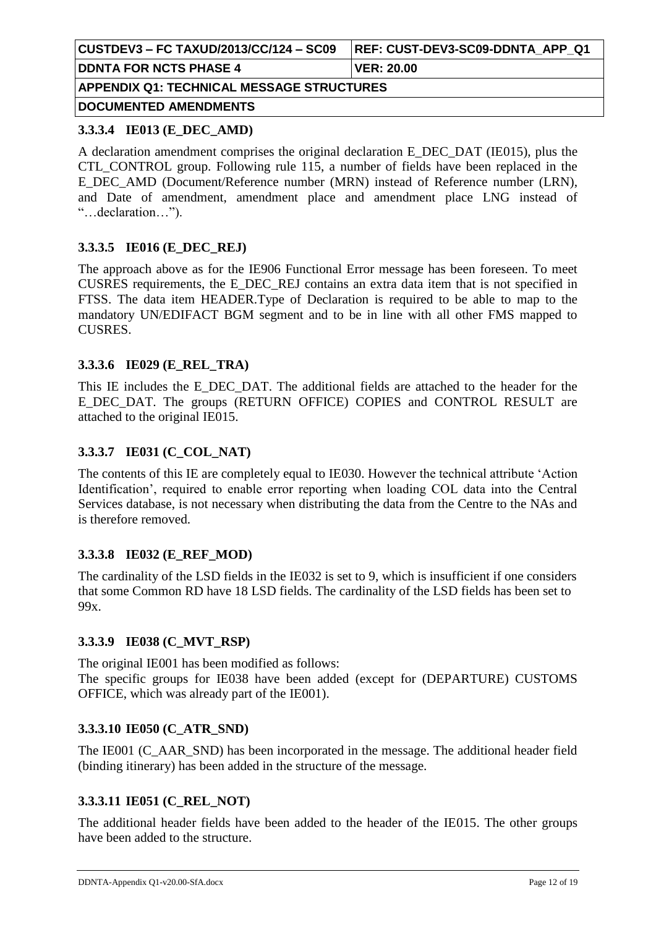| CUSTDEV3 – FC TAXUD/2013/CC/124 – SC09           | REF: CUST-DEV3-SC09-DDNTA APP Q1 |  |  |
|--------------------------------------------------|----------------------------------|--|--|
| <b>IDDNTA FOR NCTS PHASE 4</b>                   | <b>VER: 20.00</b>                |  |  |
| <b>APPENDIX Q1: TECHNICAL MESSAGE STRUCTURES</b> |                                  |  |  |
| <b>IDOCUMENTED AMENDMENTS</b>                    |                                  |  |  |

### **3.3.3.4 IE013 (E\_DEC\_AMD)**

A declaration amendment comprises the original declaration E\_DEC\_DAT (IE015), plus the CTL\_CONTROL group. Following rule 115, a number of fields have been replaced in the E\_DEC\_AMD (Document/Reference number (MRN) instead of Reference number (LRN), and Date of amendment, amendment place and amendment place LNG instead of "…declaration…").

### **3.3.3.5 IE016 (E\_DEC\_REJ)**

The approach above as for the IE906 Functional Error message has been foreseen. To meet CUSRES requirements, the E\_DEC\_REJ contains an extra data item that is not specified in FTSS. The data item HEADER.Type of Declaration is required to be able to map to the mandatory UN/EDIFACT BGM segment and to be in line with all other FMS mapped to CUSRES.

#### **3.3.3.6 IE029 (E\_REL\_TRA)**

This IE includes the E\_DEC\_DAT. The additional fields are attached to the header for the E\_DEC\_DAT. The groups (RETURN OFFICE) COPIES and CONTROL RESULT are attached to the original IE015.

#### **3.3.3.7 IE031 (C\_COL\_NAT)**

The contents of this IE are completely equal to IE030. However the technical attribute 'Action Identification', required to enable error reporting when loading COL data into the Central Services database, is not necessary when distributing the data from the Centre to the NAs and is therefore removed.

#### **3.3.3.8 IE032 (E\_REF\_MOD)**

The cardinality of the LSD fields in the IE032 is set to 9, which is insufficient if one considers that some Common RD have 18 LSD fields. The cardinality of the LSD fields has been set to 99x.

#### **3.3.3.9 IE038 (C\_MVT\_RSP)**

The original IE001 has been modified as follows: The specific groups for IE038 have been added (except for (DEPARTURE) CUSTOMS OFFICE, which was already part of the IE001).

#### **3.3.3.10 IE050 (C\_ATR\_SND)**

The IE001 (C\_AAR\_SND) has been incorporated in the message. The additional header field (binding itinerary) has been added in the structure of the message.

#### **3.3.3.11 IE051 (C\_REL\_NOT)**

The additional header fields have been added to the header of the IE015. The other groups have been added to the structure.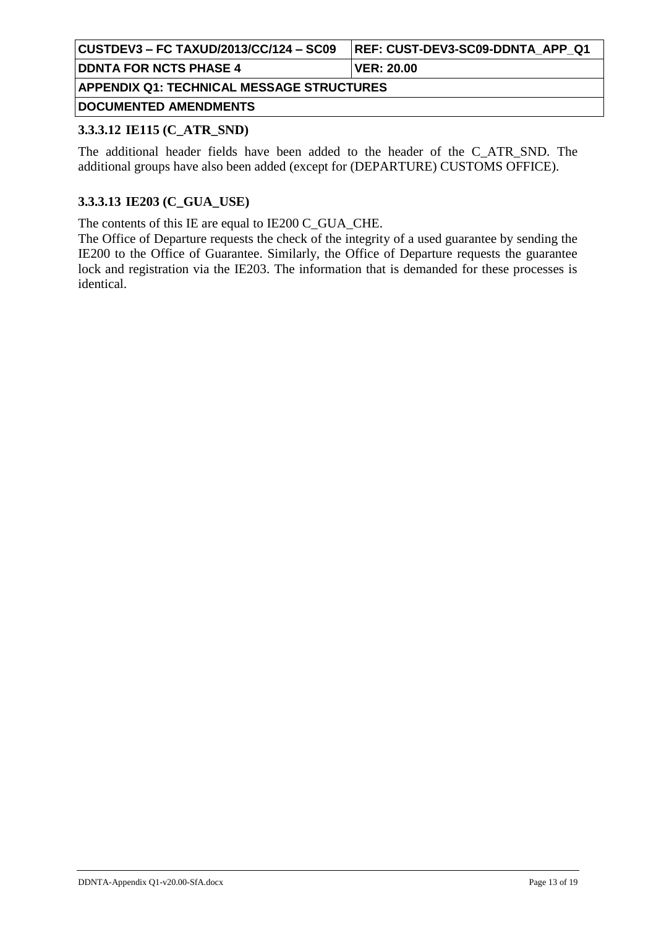| CUSTDEV3 – FC TAXUD/2013/CC/124 – SC09           | <b>REF: CUST-DEV3-SC09-DDNTA APP Q1</b> |  |  |
|--------------------------------------------------|-----------------------------------------|--|--|
| <b>IDDNTA FOR NCTS PHASE 4</b>                   | ⊺VER: 20.00                             |  |  |
| <b>APPENDIX Q1: TECHNICAL MESSAGE STRUCTURES</b> |                                         |  |  |
| <b>IDOCUMENTED AMENDMENTS</b>                    |                                         |  |  |

### **3.3.3.12 IE115 (C\_ATR\_SND)**

The additional header fields have been added to the header of the C\_ATR\_SND. The additional groups have also been added (except for (DEPARTURE) CUSTOMS OFFICE).

#### **3.3.3.13 IE203 (C\_GUA\_USE)**

The contents of this IE are equal to IE200 C\_GUA\_CHE.

The Office of Departure requests the check of the integrity of a used guarantee by sending the IE200 to the Office of Guarantee. Similarly, the Office of Departure requests the guarantee lock and registration via the IE203. The information that is demanded for these processes is identical.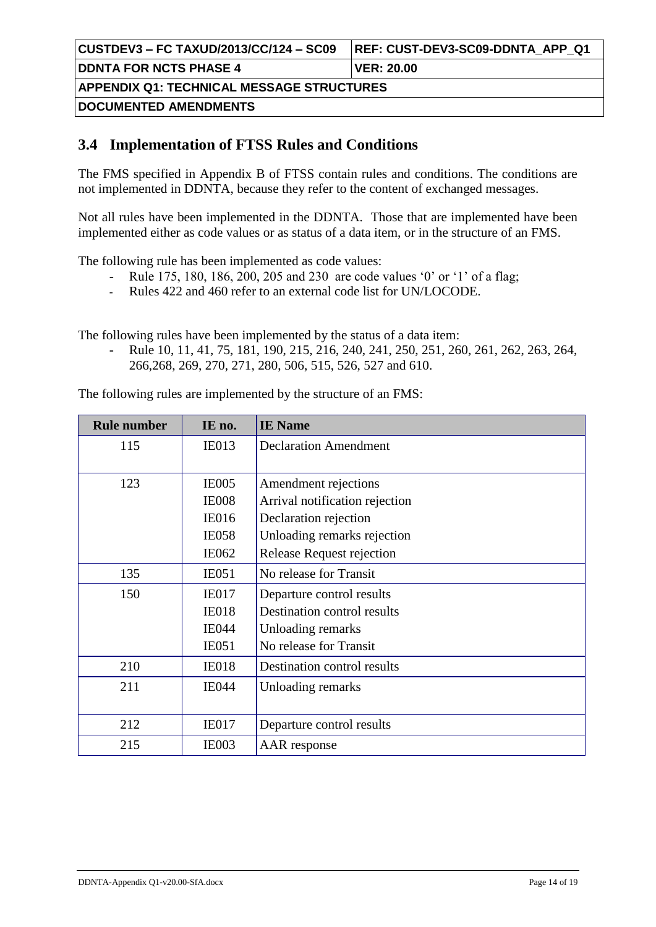| CUSTDEV3 – FC TAXUD/2013/CC/124 – SC09           | REF: CUST-DEV3-SC09-DDNTA APP Q1 |  |  |
|--------------------------------------------------|----------------------------------|--|--|
| <b>DDNTA FOR NCTS PHASE 4</b>                    | <b>IVER: 20.00</b>               |  |  |
| <b>APPENDIX Q1: TECHNICAL MESSAGE STRUCTURES</b> |                                  |  |  |
| DOCUMENTED AMENDMENTS                            |                                  |  |  |

## **3.4 Implementation of FTSS Rules and Conditions**

The FMS specified in Appendix B of FTSS contain rules and conditions. The conditions are not implemented in DDNTA, because they refer to the content of exchanged messages.

Not all rules have been implemented in the DDNTA. Those that are implemented have been implemented either as code values or as status of a data item, or in the structure of an FMS.

The following rule has been implemented as code values:

- Rule 175, 180, 186, 200, 205 and 230 are code values '0' or '1' of a flag;
- Rules 422 and 460 refer to an external code list for UN/LOCODE.

The following rules have been implemented by the status of a data item:

- Rule 10, 11, 41, 75, 181, 190, 215, 216, 240, 241, 250, 251, 260, 261, 262, 263, 264, 266,268, 269, 270, 271, 280, 506, 515, 526, 527 and 610.

The following rules are implemented by the structure of an FMS:

| <b>Rule number</b> | IE no.            | <b>IE</b> Name                 |
|--------------------|-------------------|--------------------------------|
| 115                | IE013             | <b>Declaration Amendment</b>   |
|                    |                   |                                |
| 123                | IE <sub>005</sub> | Amendment rejections           |
|                    | <b>IE008</b>      | Arrival notification rejection |
|                    | <b>IE016</b>      | Declaration rejection          |
|                    | <b>IE058</b>      | Unloading remarks rejection    |
|                    | <b>IE062</b>      | Release Request rejection      |
| 135                | IE051             | No release for Transit         |
| 150                | IE017             | Departure control results      |
|                    | <b>IE018</b>      | Destination control results    |
|                    | <b>IE044</b>      | Unloading remarks              |
|                    | <b>IE051</b>      | No release for Transit         |
| 210                | IE018             | Destination control results    |
| 211                | <b>IE044</b>      | Unloading remarks              |
|                    |                   |                                |
| 212                | IE017             | Departure control results      |
| 215                | IE <sub>003</sub> | AAR response                   |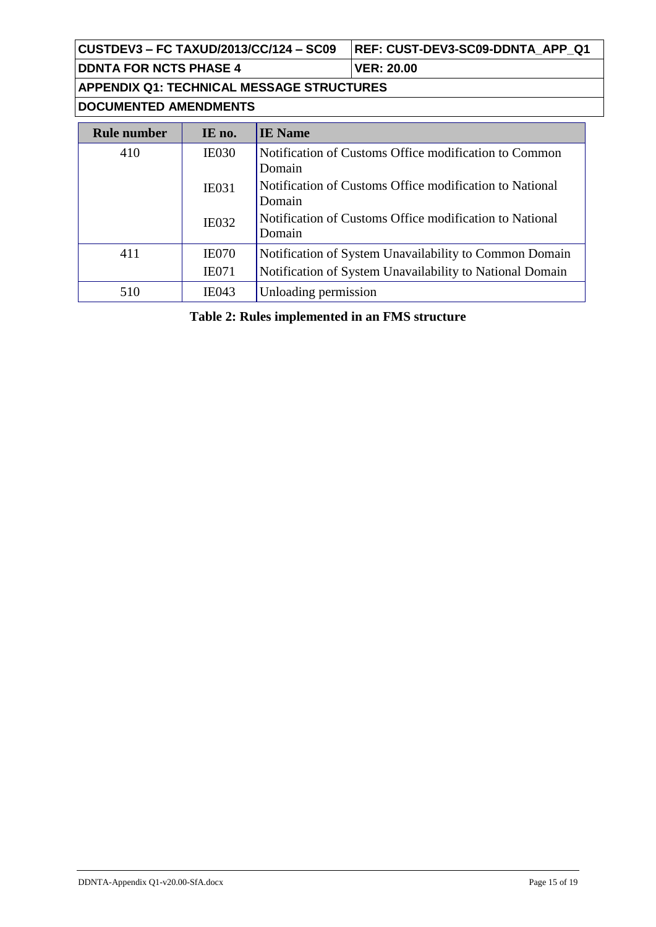**CUSTDEV3 – FC TAXUD/2013/CC/124 – SC09 REF: CUST-DEV3-SC09-DDNTA\_APP\_Q1**

**DDNTA FOR NCTS PHASE 4 VER: 20.00**

**APPENDIX Q1: TECHNICAL MESSAGE STRUCTURES**

**DOCUMENTED AMENDMENTS**

| <b>Rule number</b> | IE no.       | <b>IE</b> Name                                                    |
|--------------------|--------------|-------------------------------------------------------------------|
| 410                | <b>IE030</b> | Notification of Customs Office modification to Common<br>Domain   |
|                    | <b>IE031</b> | Notification of Customs Office modification to National<br>Domain |
|                    | <b>IE032</b> | Notification of Customs Office modification to National<br>Domain |
| 411                | <b>IE070</b> | Notification of System Unavailability to Common Domain            |
|                    | <b>IE071</b> | Notification of System Unavailability to National Domain          |
| 510                | <b>IE043</b> | Unloading permission                                              |

<span id="page-14-0"></span>**Table 2: Rules implemented in an FMS structure**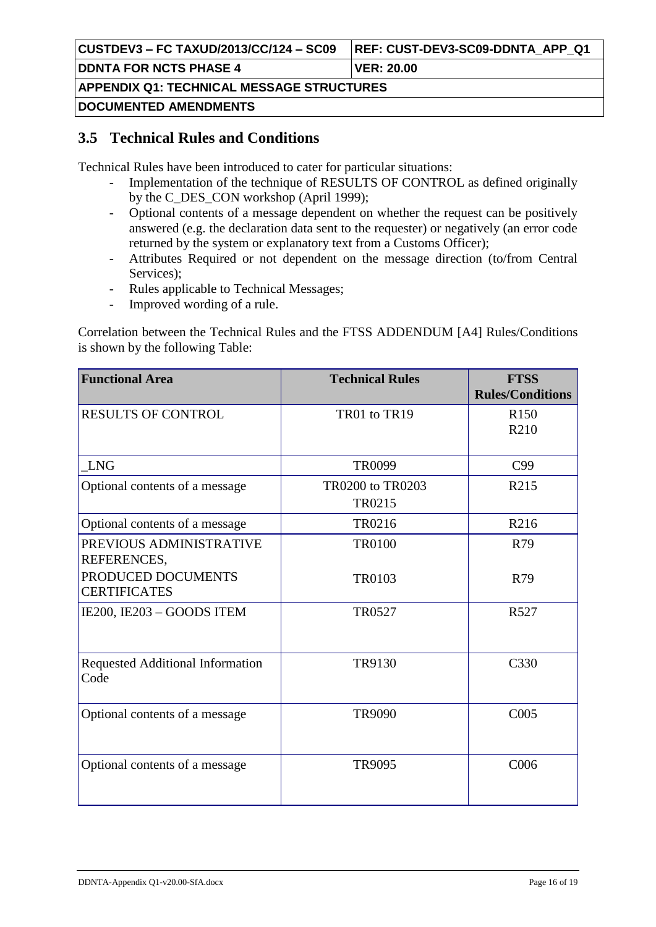| CUSTDEV3 – FC TAXUD/2013/CC/124 – SC09    | <b>REF: CUST-DEV3-SC09-DDNTA APP Q1</b> |  |
|-------------------------------------------|-----------------------------------------|--|
| <b>DDNTA FOR NCTS PHASE 4</b>             | <b>IVER: 20.00</b>                      |  |
| APPENDIX Q1: TECHNICAL MESSAGE STRUCTURES |                                         |  |

**DOCUMENTED AMENDMENTS**

## **3.5 Technical Rules and Conditions**

Technical Rules have been introduced to cater for particular situations:

- Implementation of the technique of RESULTS OF CONTROL as defined originally by the C\_DES\_CON workshop (April 1999);
- Optional contents of a message dependent on whether the request can be positively answered (e.g. the declaration data sent to the requester) or negatively (an error code returned by the system or explanatory text from a Customs Officer);
- Attributes Required or not dependent on the message direction (to/from Central Services):
- Rules applicable to Technical Messages;
- Improved wording of a rule.

Correlation between the Technical Rules and the FTSS ADDENDUM [A4] Rules/Conditions is shown by the following Table:

| <b>Functional Area</b>                          | <b>Technical Rules</b>     | <b>FTSS</b><br><b>Rules/Conditions</b> |
|-------------------------------------------------|----------------------------|----------------------------------------|
| <b>RESULTS OF CONTROL</b>                       | TR01 to TR19               | R <sub>150</sub><br>R210               |
| <b>LNG</b>                                      | <b>TR0099</b>              | C99                                    |
| Optional contents of a message                  | TR0200 to TR0203<br>TR0215 | R215                                   |
| Optional contents of a message                  | TR0216                     | R216                                   |
| PREVIOUS ADMINISTRATIVE<br>REFERENCES,          | <b>TR0100</b>              | R79                                    |
| PRODUCED DOCUMENTS<br><b>CERTIFICATES</b>       | <b>TR0103</b>              | R79                                    |
| IE200, IE203 - GOODS ITEM                       | <b>TR0527</b>              | R527                                   |
| <b>Requested Additional Information</b><br>Code | TR9130                     | C330                                   |
| Optional contents of a message                  | <b>TR9090</b>              | C005                                   |
| Optional contents of a message                  | TR9095                     | C006                                   |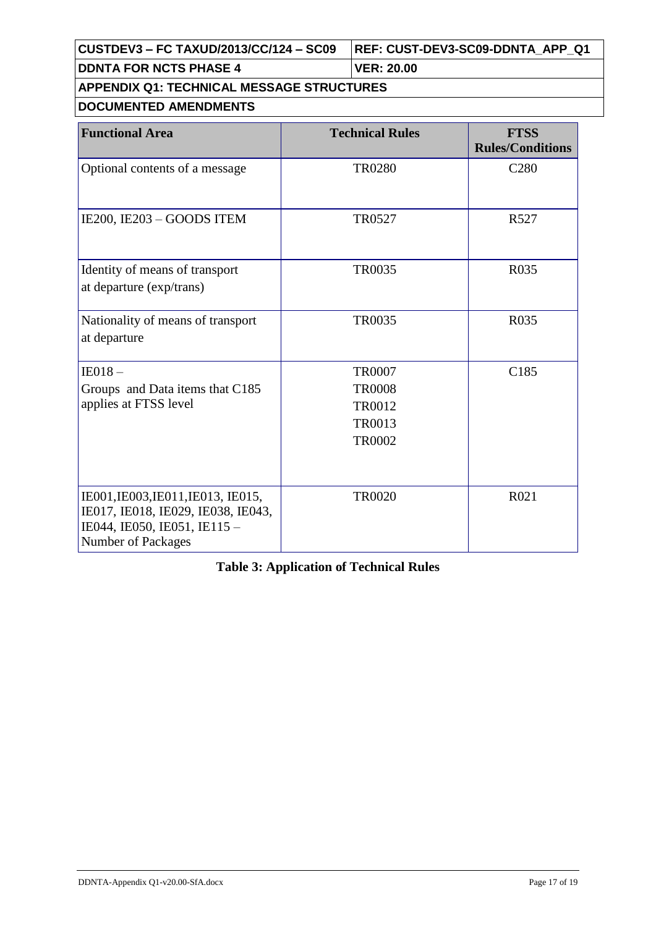| <b>CUSTDEV3 – FC TAXUD/2013/CC/124 – SC09</b> | REF: CUST-DEV3-SC09-DDNTA APP Q1 |
|-----------------------------------------------|----------------------------------|
| <b>DDNTA FOR NCTS PHASE 4</b>                 | VER: 20.00                       |

## **APPENDIX Q1: TECHNICAL MESSAGE STRUCTURES**

#### **DOCUMENTED AMENDMENTS**

| <b>Functional Area</b>                                                                                                        | <b>Technical Rules</b>                                                     | <b>FTSS</b><br><b>Rules/Conditions</b> |
|-------------------------------------------------------------------------------------------------------------------------------|----------------------------------------------------------------------------|----------------------------------------|
| Optional contents of a message                                                                                                | <b>TR0280</b>                                                              | C <sub>280</sub>                       |
| IE200, IE203 - GOODS ITEM                                                                                                     | TR0527                                                                     | R527                                   |
| Identity of means of transport<br>at departure (exp/trans)                                                                    | <b>TR0035</b>                                                              | R035                                   |
| Nationality of means of transport<br>at departure                                                                             | TR0035                                                                     | R035                                   |
| $IE018-$<br>Groups and Data items that C185<br>applies at FTSS level                                                          | <b>TR0007</b><br><b>TR0008</b><br><b>TR0012</b><br>TR0013<br><b>TR0002</b> | C185                                   |
| IE001, IE003, IE011, IE013, IE015,<br>IE017, IE018, IE029, IE038, IE043,<br>IE044, IE050, IE051, IE115-<br>Number of Packages | <b>TR0020</b>                                                              | R021                                   |

## <span id="page-16-0"></span>**Table 3: Application of Technical Rules**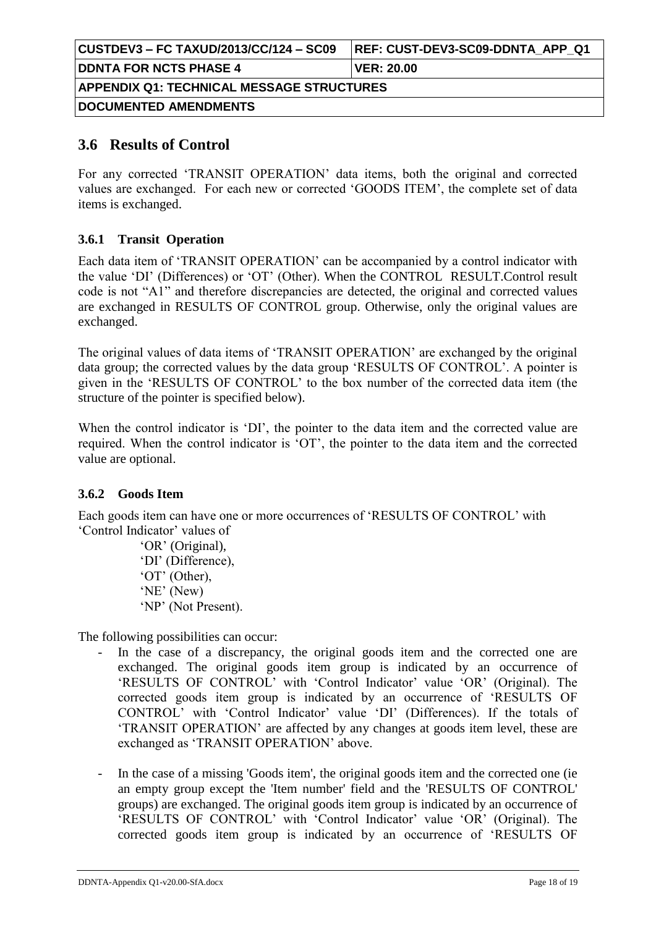| CUSTDEV3 – FC TAXUD/2013/CC/124 – SC09           | REF: CUST-DEV3-SC09-DDNTA APP Q1 |  |
|--------------------------------------------------|----------------------------------|--|
| <b>IDDNTA FOR NCTS PHASE 4</b>                   | <b>VER: 20.00</b>                |  |
| <b>APPENDIX Q1: TECHNICAL MESSAGE STRUCTURES</b> |                                  |  |
| <b> DOCUMENTED AMENDMENTS </b>                   |                                  |  |

## **3.6 Results of Control**

For any corrected 'TRANSIT OPERATION' data items, both the original and corrected values are exchanged. For each new or corrected 'GOODS ITEM', the complete set of data items is exchanged.

### **3.6.1 Transit Operation**

Each data item of 'TRANSIT OPERATION' can be accompanied by a control indicator with the value 'DI' (Differences) or 'OT' (Other). When the CONTROL RESULT.Control result code is not "A1" and therefore discrepancies are detected, the original and corrected values are exchanged in RESULTS OF CONTROL group. Otherwise, only the original values are exchanged.

The original values of data items of 'TRANSIT OPERATION' are exchanged by the original data group; the corrected values by the data group 'RESULTS OF CONTROL'. A pointer is given in the 'RESULTS OF CONTROL' to the box number of the corrected data item (the structure of the pointer is specified below).

When the control indicator is 'DI', the pointer to the data item and the corrected value are required. When the control indicator is 'OT', the pointer to the data item and the corrected value are optional.

#### **3.6.2 Goods Item**

Each goods item can have one or more occurrences of 'RESULTS OF CONTROL' with 'Control Indicator' values of

> 'OR' (Original), 'DI' (Difference), 'OT' (Other), 'NE' (New) 'NP' (Not Present).

The following possibilities can occur:

- In the case of a discrepancy, the original goods item and the corrected one are exchanged. The original goods item group is indicated by an occurrence of 'RESULTS OF CONTROL' with 'Control Indicator' value 'OR' (Original). The corrected goods item group is indicated by an occurrence of 'RESULTS OF CONTROL' with 'Control Indicator' value 'DI' (Differences). If the totals of 'TRANSIT OPERATION' are affected by any changes at goods item level, these are exchanged as 'TRANSIT OPERATION' above.
- In the case of a missing 'Goods item', the original goods item and the corrected one (ie an empty group except the 'Item number' field and the 'RESULTS OF CONTROL' groups) are exchanged. The original goods item group is indicated by an occurrence of 'RESULTS OF CONTROL' with 'Control Indicator' value 'OR' (Original). The corrected goods item group is indicated by an occurrence of 'RESULTS OF